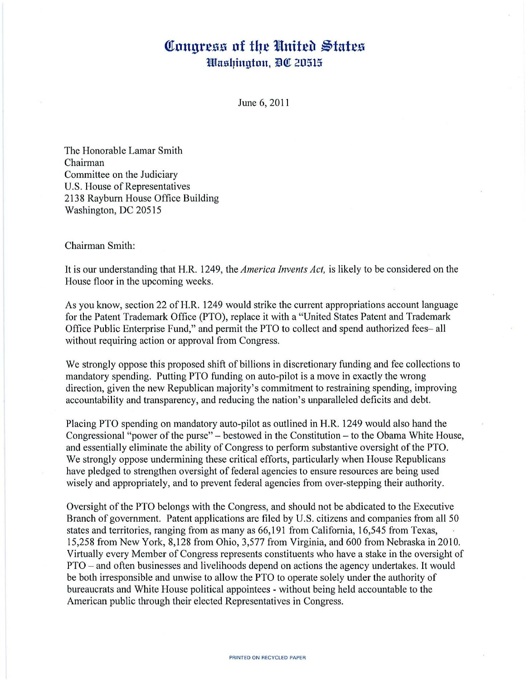## Congress of the United States *Washington, DC 20515*

June 6, 2011

The Honorable Lamar Smith Chairman Committee on the Judiciary U.S. House of Representatives 2138 Rayburn House Office Building Washington, DC 20515

Chairman Smith:

It is our understanding that H.R. 1249, the *America Invents Act,* is likely to be considered on the House floor in the upcoming weeks.

As you know, section 22 of H.R. 1249 would strike the current appropriations account language for the Patent Trademark Office (PTO), replace it with a "United States Patent and Trademark Office Public Enterprise Fund," and permit the PTO to collect and spend authorized fees- all without requiring action or approval from Congress.

We strongly oppose this proposed shift of billions in discretionary funding and fee collections to mandatory spending. Putting PTO funding on auto-pilot is a move in exactly the wrong direction, given the new Republican majority's commitment to restraining spending, improving accountability and transparency, and reducing the nation's unparalleled deficits and debt.

Placing PTO spending on mandatory auto-pilot as outlined in H.R. 1249 would also hand the Congressional "power of the purse" - bestowed in the Constitution - to the Obama White House, and essentially eliminate the ability of Congress to perform substantive oversight of the PTO. We strongly oppose undermining these critical efforts, particularly when House Republicans have pledged to strengthen oversight of federal agencies to ensure resources are being used wisely and appropriately, and to prevent federal agencies from over-stepping their authority.

Oversight of the PTO belongs with the Congress, and should not be abdicated to the Executive Branch of government. Patent applications are filed by U.S. citizens and companies from all 50 states and territories, ranging from as many as 66,191 from California, 16,545 from Texas, 15,258 from New York, 8,128 from Ohio, 3,577 from Virginia, and 600 from Nebraska in 2010. Virtually every Member of Congress represents constituents who have a stake in the oversight of PTO - and often businesses and livelihoods depend on actions the agency undertakes. It would be both irresponsible and unwise to allow the PTO to operate solely under the authority of bureaucrats and White House political appointees - without being held accountable to the American public through their elected Representatives in Congress.